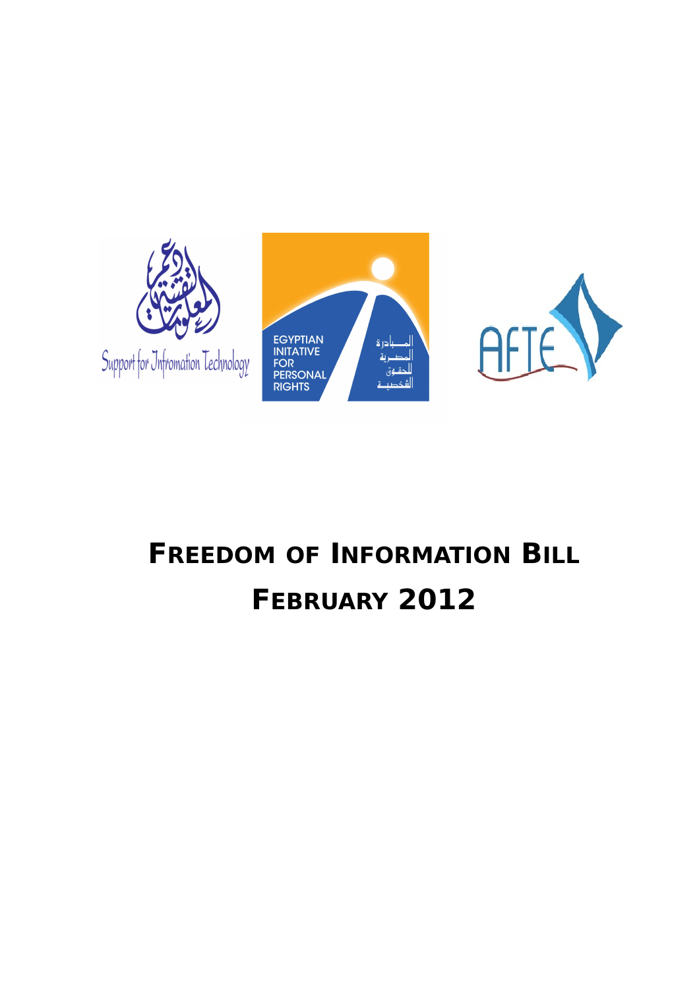





## **FREEDOM OF INFORMATION BILL FEBRUARY 2012**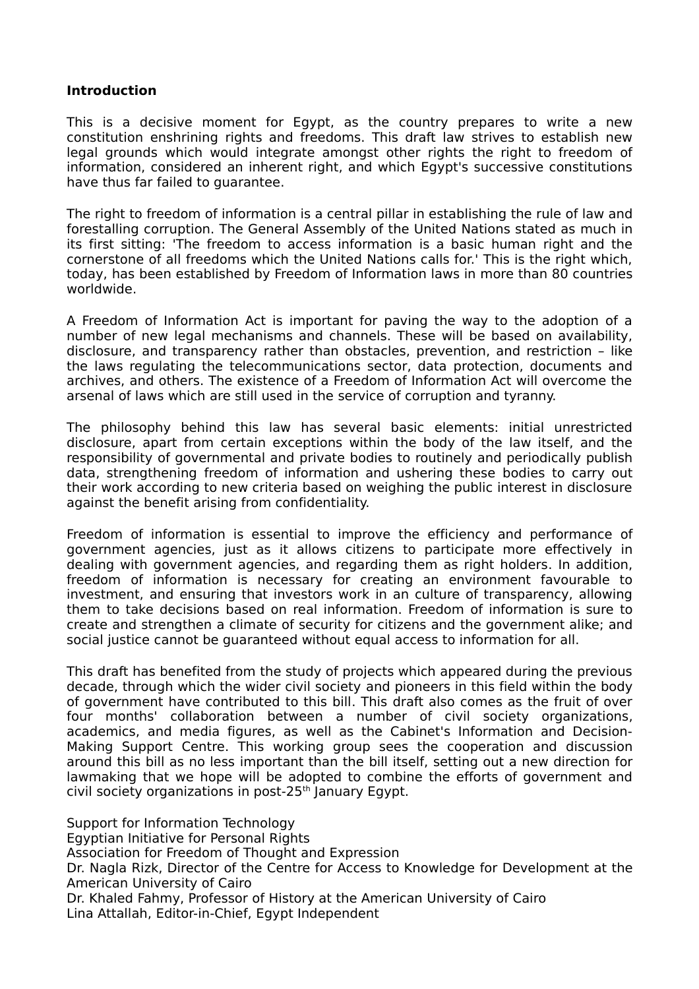## **Introduction**

This is a decisive moment for Egypt, as the country prepares to write a new constitution enshrining rights and freedoms. This draft law strives to establish new legal grounds which would integrate amongst other rights the right to freedom of information, considered an inherent right, and which Egypt's successive constitutions have thus far failed to guarantee.

The right to freedom of information is a central pillar in establishing the rule of law and forestalling corruption. The General Assembly of the United Nations stated as much in its first sitting: 'The freedom to access information is a basic human right and the cornerstone of all freedoms which the United Nations calls for.' This is the right which, today, has been established by Freedom of Information laws in more than 80 countries worldwide.

A Freedom of Information Act is important for paving the way to the adoption of a number of new legal mechanisms and channels. These will be based on availability, disclosure, and transparency rather than obstacles, prevention, and restriction – like the laws regulating the telecommunications sector, data protection, documents and archives, and others. The existence of a Freedom of Information Act will overcome the arsenal of laws which are still used in the service of corruption and tyranny.

The philosophy behind this law has several basic elements: initial unrestricted disclosure, apart from certain exceptions within the body of the law itself, and the responsibility of governmental and private bodies to routinely and periodically publish data, strengthening freedom of information and ushering these bodies to carry out their work according to new criteria based on weighing the public interest in disclosure against the benefit arising from confidentiality.

Freedom of information is essential to improve the efficiency and performance of government agencies, just as it allows citizens to participate more effectively in dealing with government agencies, and regarding them as right holders. In addition, freedom of information is necessary for creating an environment favourable to investment, and ensuring that investors work in an culture of transparency, allowing them to take decisions based on real information. Freedom of information is sure to create and strengthen a climate of security for citizens and the government alike; and social justice cannot be guaranteed without equal access to information for all.

This draft has benefited from the study of projects which appeared during the previous decade, through which the wider civil society and pioneers in this field within the body of government have contributed to this bill. This draft also comes as the fruit of over four months' collaboration between a number of civil society organizations, academics, and media figures, as well as the Cabinet's Information and Decision-Making Support Centre. This working group sees the cooperation and discussion around this bill as no less important than the bill itself, setting out a new direction for lawmaking that we hope will be adopted to combine the efforts of government and civil society organizations in post-25<sup>th</sup> January Egypt.

Support for Information Technology Egyptian Initiative for Personal Rights Association for Freedom of Thought and Expression Dr. Nagla Rizk, Director of the Centre for Access to Knowledge for Development at the American University of Cairo Dr. Khaled Fahmy, Professor of History at the American University of Cairo Lina Attallah, Editor-in-Chief, Egypt Independent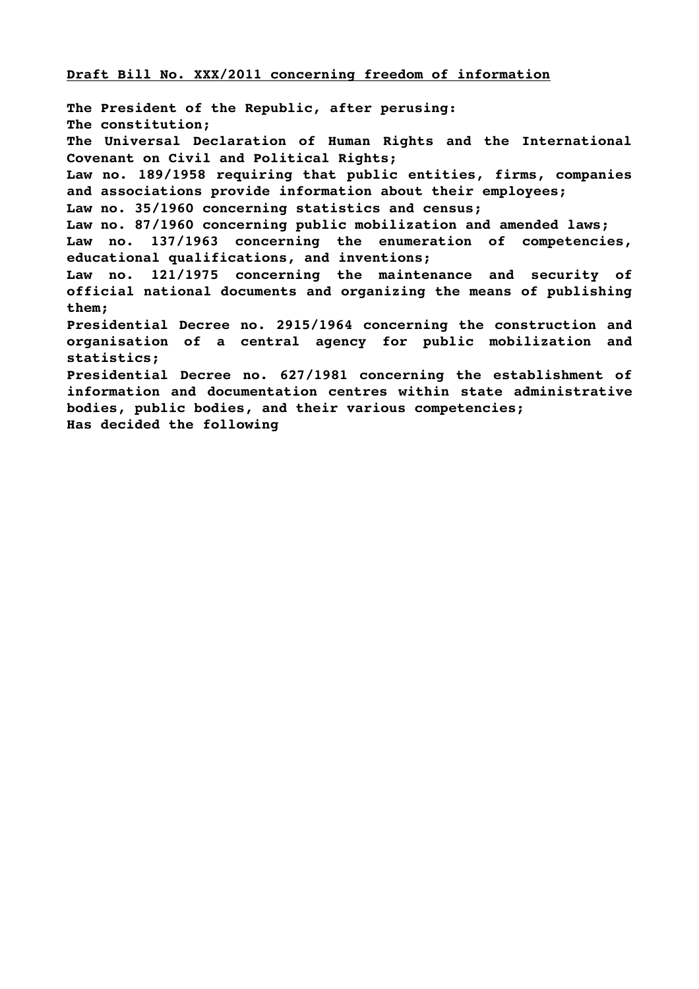## **Draft Bill No. XXX/2011 concerning freedom of information**

**The President of the Republic, after perusing: The constitution; The Universal Declaration of Human Rights and the International Covenant on Civil and Political Rights; Law no. 189/1958 requiring that public entities, firms, companies and associations provide information about their employees; Law no. 35/1960 concerning statistics and census; Law no. 87/1960 concerning public mobilization and amended laws; Law no. 137/1963 concerning the enumeration of competencies, educational qualifications, and inventions; Law no. 121/1975 concerning the maintenance and security of official national documents and organizing the means of publishing them; Presidential Decree no. 2915/1964 concerning the construction and organisation of a central agency for public mobilization and statistics; Presidential Decree no. 627/1981 concerning the establishment of information and documentation centres within state administrative bodies, public bodies, and their various competencies; Has decided the following**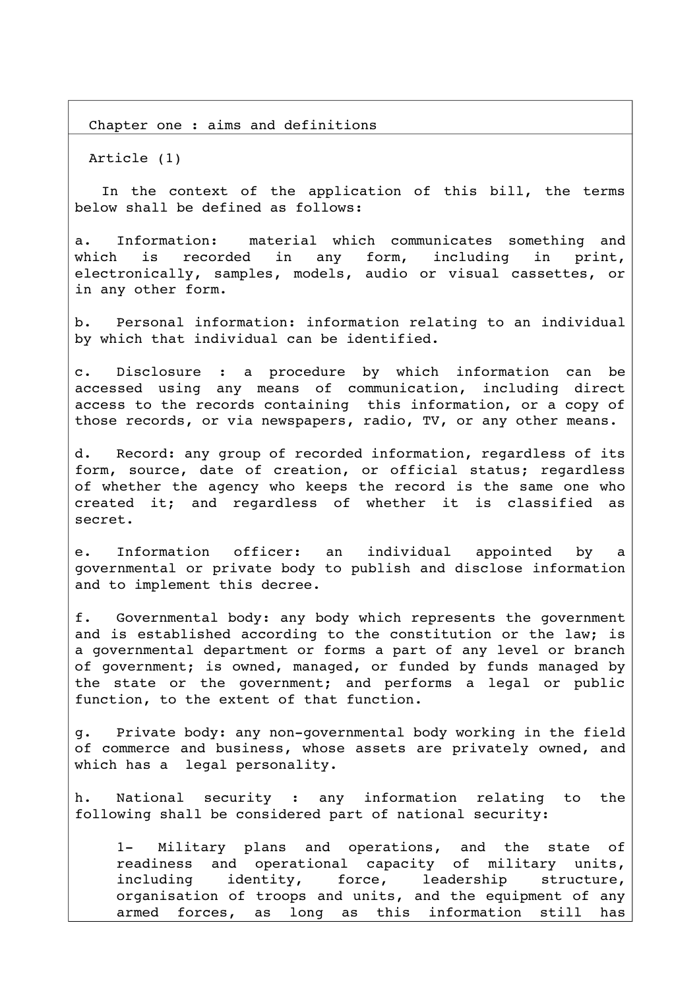Chapter one : aims and definitions

Article (1)

In the context of the application of this bill, the terms below shall be defined as follows:

a. Information: material which communicates something and which is recorded in any form, including in print, electronically, samples, models, audio or visual cassettes, or in any other form.

b. Personal information: information relating to an individual by which that individual can be identified.

c. Disclosure : a procedure by which information can be accessed using any means of communication, including direct access to the records containing this information, or a copy of those records, or via newspapers, radio, TV, or any other means.

d. Record: any group of recorded information, regardless of its form, source, date of creation, or official status; regardless of whether the agency who keeps the record is the same one who created it; and regardless of whether it is classified as secret.

e. Information officer: an individual appointed by a governmental or private body to publish and disclose information and to implement this decree.

f. Governmental body: any body which represents the government and is established according to the constitution or the law; is a governmental department or forms a part of any level or branch of government; is owned, managed, or funded by funds managed by the state or the government; and performs a legal or public function, to the extent of that function.

g. Private body: any non-governmental body working in the field of commerce and business, whose assets are privately owned, and which has a legal personality.

h. National security : any information relating to the following shall be considered part of national security:

1- Military plans and operations, and the state of readiness and operational capacity of military units, including identity, force, leadership structure, organisation of troops and units, and the equipment of any armed forces, as long as this information still has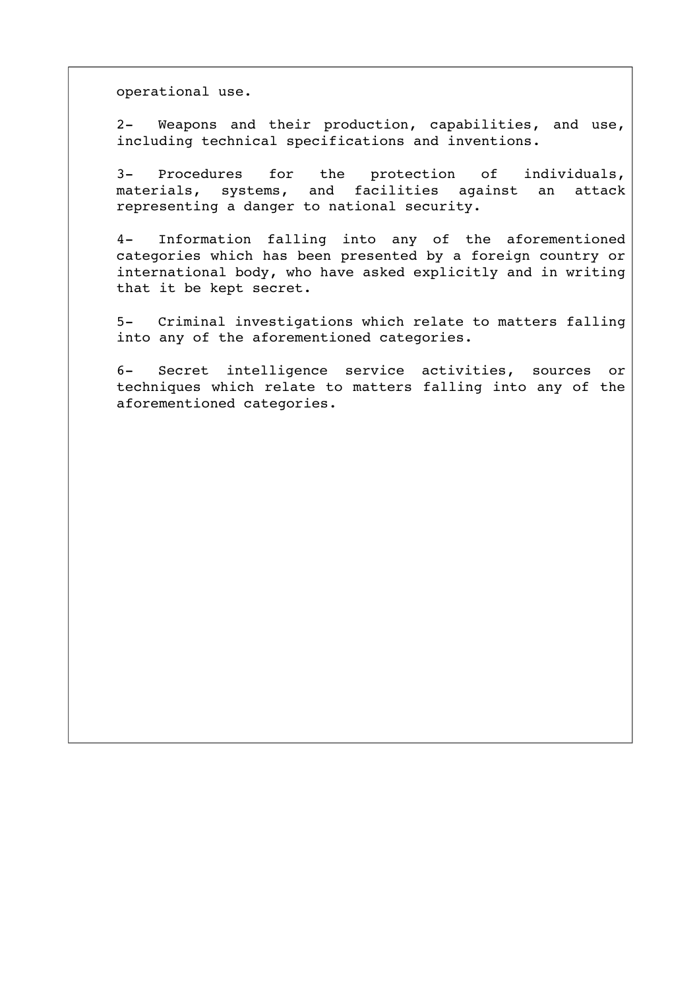operational use.

2- Weapons and their production, capabilities, and use, including technical specifications and inventions.

3- Procedures for the protection of individuals, materials, systems, and facilities against an attack representing a danger to national security.

4 Information falling into any of the aforementioned categories which has been presented by a foreign country or international body, who have asked explicitly and in writing that it be kept secret.

5- Criminal investigations which relate to matters falling into any of the aforementioned categories.

6- Secret intelligence service activities, sources or techniques which relate to matters falling into any of the aforementioned categories.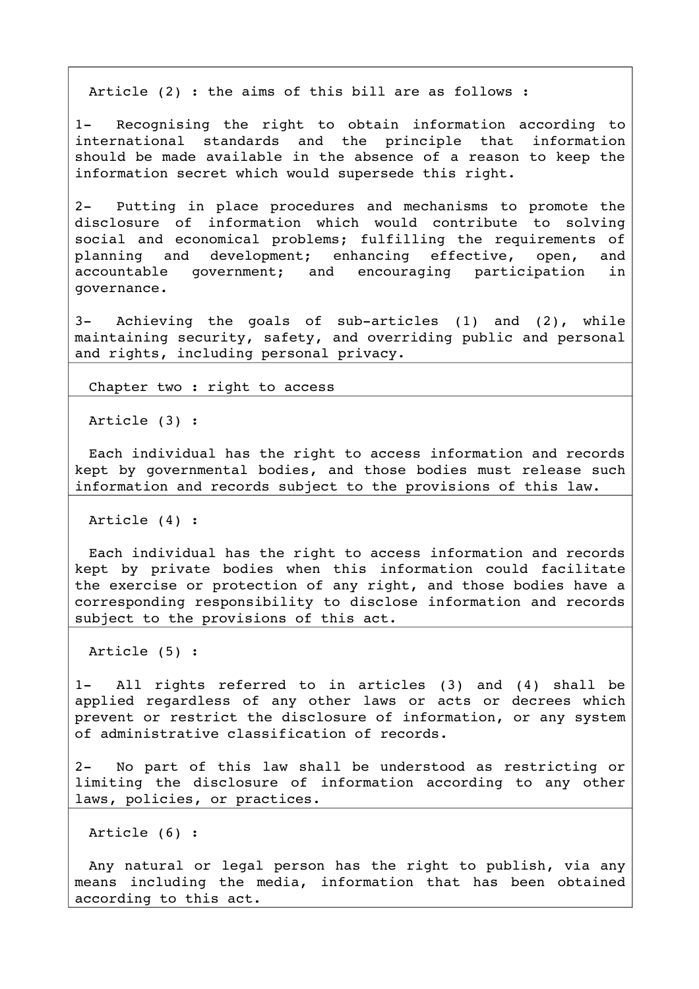Article (2) : the aims of this bill are as follows :

1- Recognising the right to obtain information according to international standards and the principle that information should be made available in the absence of a reason to keep the information secret which would supersede this right.

2 Putting in place procedures and mechanisms to promote the disclosure of information which would contribute to solving social and economical problems; fulfilling the requirements of planning and development; enhancing effective, open, and accountable qovernment; and encouraging participation in governance.

3- Achieving the goals of sub-articles (1) and (2), while maintaining security, safety, and overriding public and personal and rights, including personal privacy.

Chapter two : right to access

Article (3) :

Each individual has the right to access information and records kept by governmental bodies, and those bodies must release such information and records subject to the provisions of this law.

Article (4) :

Each individual has the right to access information and records kept by private bodies when this information could facilitate the exercise or protection of any right, and those bodies have a corresponding responsibility to disclose information and records subject to the provisions of this act.

Article (5) :

1- All rights referred to in articles (3) and (4) shall be applied regardless of any other laws or acts or decrees which prevent or restrict the disclosure of information, or any system of administrative classification of records.

2- No part of this law shall be understood as restricting or limiting the disclosure of information according to any other laws, policies, or practices.

Article (6) :

Any natural or legal person has the right to publish, via any means including the media, information that has been obtained according to this act.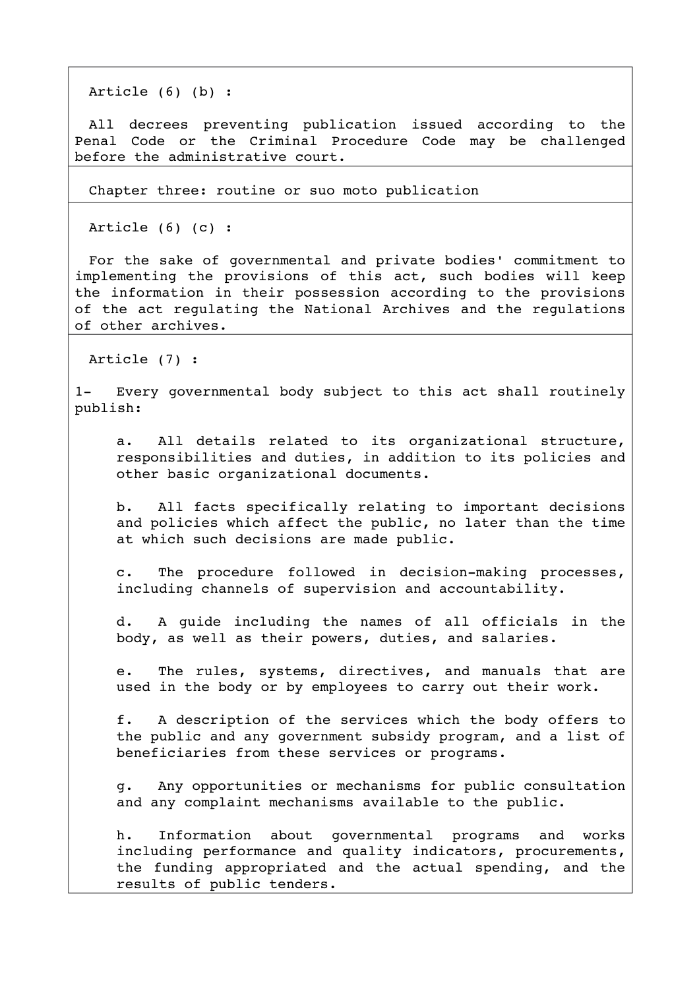Article (6) (b) :

All decrees preventing publication issued according to the Penal Code or the Criminal Procedure Code may be challenged before the administrative court.

Chapter three: routine or suo moto publication

Article (6) (c) :

For the sake of governmental and private bodies' commitment to implementing the provisions of this act, such bodies will keep the information in their possession according to the provisions of the act regulating the National Archives and the regulations of other archives.

Article (7) :

1- Every governmental body subject to this act shall routinely publish:

a. All details related to its organizational structure, responsibilities and duties, in addition to its policies and other basic organizational documents.

b. All facts specifically relating to important decisions and policies which affect the public, no later than the time at which such decisions are made public.

c. The procedure followed in decision-making processes, including channels of supervision and accountability.

d. A guide including the names of all officials in the body, as well as their powers, duties, and salaries.

e. The rules, systems, directives, and manuals that are used in the body or by employees to carry out their work.

f. A description of the services which the body offers to the public and any government subsidy program, and a list of beneficiaries from these services or programs.

g. Any opportunities or mechanisms for public consultation and any complaint mechanisms available to the public.

h. Information about qovernmental programs and works including performance and quality indicators, procurements, the funding appropriated and the actual spending, and the results of public tenders.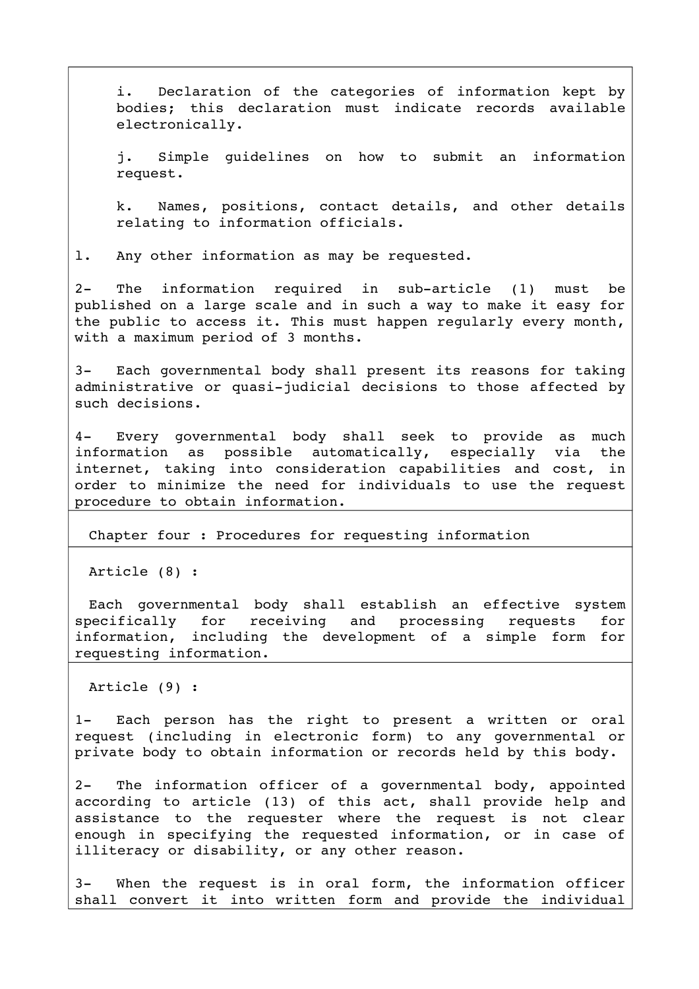i. Declaration of the categories of information kept by bodies; this declaration must indicate records available electronically.

j. Simple guidelines on how to submit an information request.

k. Names, positions, contact details, and other details relating to information officials.

l. Any other information as may be requested.

2- The information required in sub-article (1) must be published on a large scale and in such a way to make it easy for the public to access it. This must happen regularly every month, with a maximum period of 3 months.

3- Each governmental body shall present its reasons for taking administrative or quasi-judicial decisions to those affected by such decisions.

4- Every governmental body shall seek to provide as much information as possible automatically, especially via the internet, taking into consideration capabilities and cost, in order to minimize the need for individuals to use the request procedure to obtain information.

Chapter four : Procedures for requesting information

Article (8) :

Each qovernmental body shall establish an effective system specifically for receiving and processing requests for information, including the development of a simple form for requesting information.

Article (9) :

1- Each person has the right to present a written or oral request (including in electronic form) to any governmental or private body to obtain information or records held by this body.

2- The information officer of a governmental body, appointed according to article (13) of this act, shall provide help and assistance to the requester where the request is not clear enough in specifying the requested information, or in case of illiteracy or disability, or any other reason.

3- When the request is in oral form, the information officer shall convert it into written form and provide the individual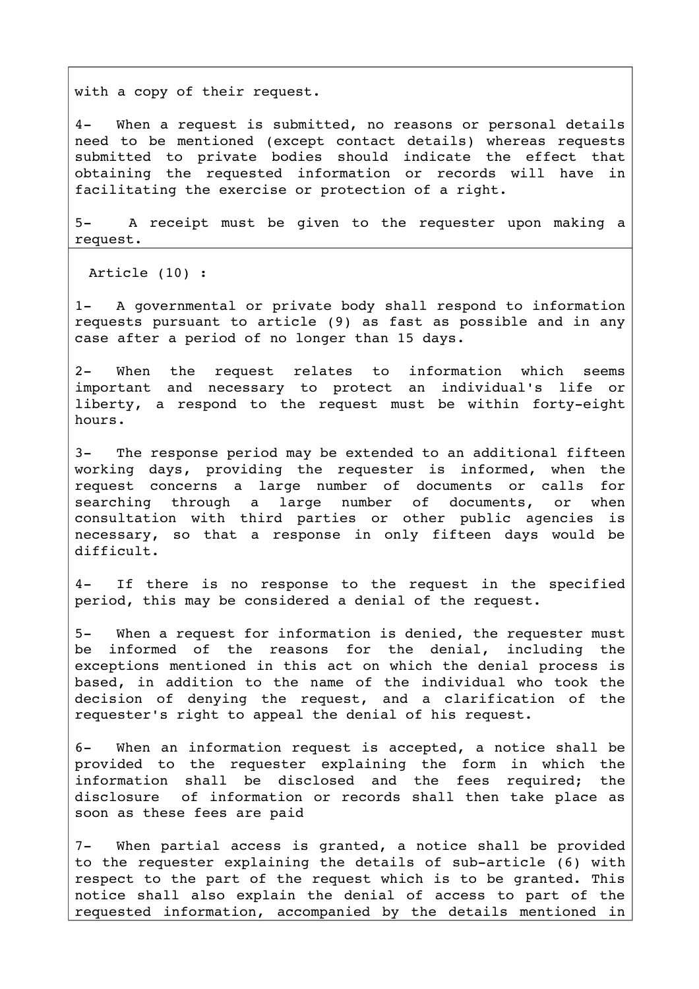with a copy of their request.

4- When a request is submitted, no reasons or personal details need to be mentioned (except contact details) whereas requests submitted to private bodies should indicate the effect that obtaining the requested information or records will have in facilitating the exercise or protection of a right.

5- A receipt must be given to the requester upon making a request.

Article (10) :

1- A governmental or private body shall respond to information requests pursuant to article (9) as fast as possible and in any case after a period of no longer than 15 days.

2- When the request relates to information which seems important and necessary to protect an individual's life or liberty, a respond to the request must be within forty-eight hours.

3- The response period may be extended to an additional fifteen working days, providing the requester is informed, when the request concerns a large number of documents or calls for searching through a large number of documents, or when consultation with third parties or other public agencies is necessary, so that a response in only fifteen days would be difficult.

4- If there is no response to the request in the specified period, this may be considered a denial of the request.

5- When a request for information is denied, the requester must be informed of the reasons for the denial, including the exceptions mentioned in this act on which the denial process is based, in addition to the name of the individual who took the decision of denying the request, and a clarification of the requester's right to appeal the denial of his request.

6- When an information request is accepted, a notice shall be provided to the requester explaining the form in which the information shall be disclosed and the fees required; the disclosure of information or records shall then take place as soon as these fees are paid

7- When partial access is granted, a notice shall be provided to the requester explaining the details of sub-article  $(6)$  with respect to the part of the request which is to be granted. This notice shall also explain the denial of access to part of the requested information, accompanied by the details mentioned in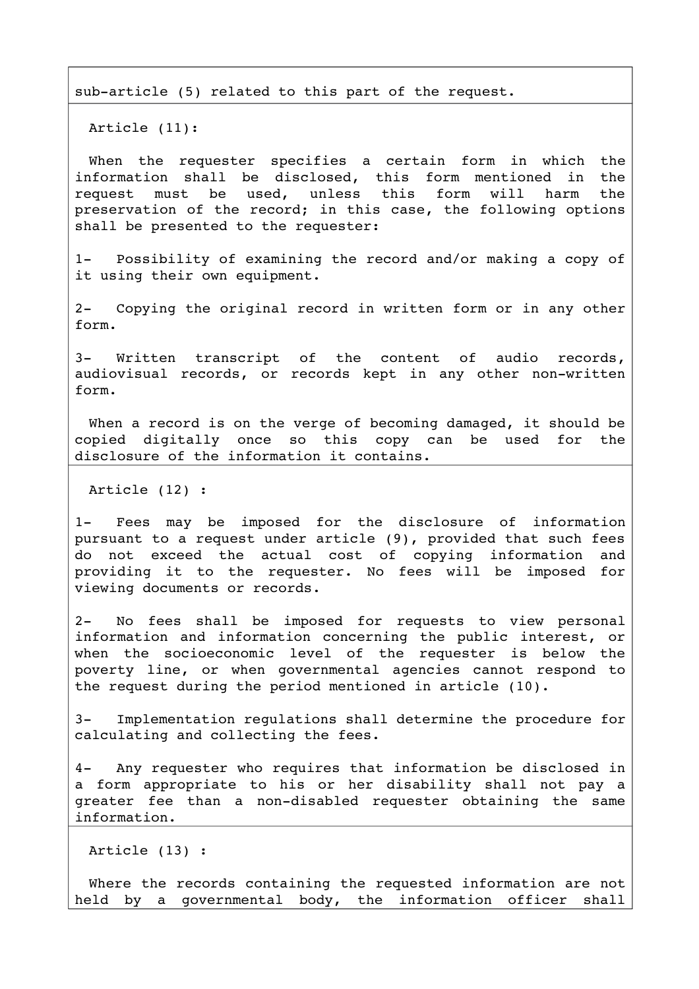sub-article (5) related to this part of the request.

Article (11):

When the requester specifies a certain form in which the information shall be disclosed, this form mentioned in the request must be used, unless this form will harm the preservation of the record; in this case, the following options shall be presented to the requester:

1- Possibility of examining the record and/or making a copy of it using their own equipment.

2- Copying the original record in written form or in any other form.

3- Written transcript of the content of audio records, audiovisual records, or records kept in any other non-written form.

When a record is on the verge of becoming damaged, it should be copied digitally once so this copy can be used for the disclosure of the information it contains.

Article (12) :

1- Fees may be imposed for the disclosure of information pursuant to a request under article (9), provided that such fees do not exceed the actual cost of copying information and providing it to the requester. No fees will be imposed for viewing documents or records.

2- No fees shall be imposed for requests to view personal information and information concerning the public interest, or when the socioeconomic level of the requester is below the poverty line, or when governmental agencies cannot respond to the request during the period mentioned in article (10).

3 Implementation regulations shall determine the procedure for calculating and collecting the fees.

4 Any requester who requires that information be disclosed in a form appropriate to his or her disability shall not pay a greater fee than a non-disabled requester obtaining the same information.

Article (13) :

Where the records containing the requested information are not held by a governmental body, the information officer shall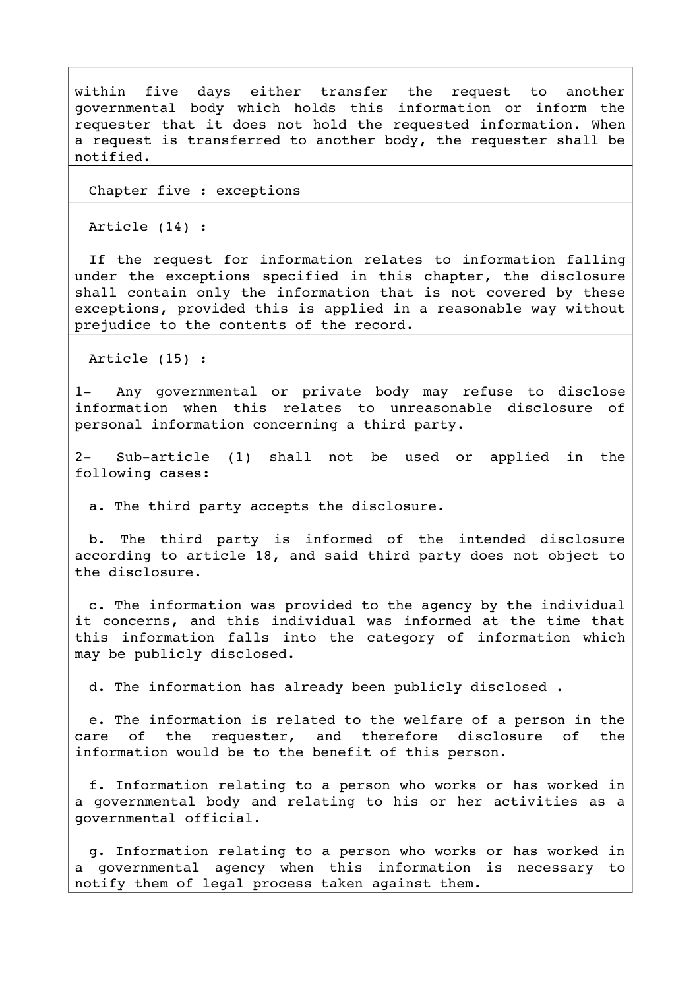within five days either transfer the request to another governmental body which holds this information or inform the requester that it does not hold the requested information. When a request is transferred to another body, the requester shall be notified.

Chapter five : exceptions

Article (14) :

If the request for information relates to information falling under the exceptions specified in this chapter, the disclosure shall contain only the information that is not covered by these exceptions, provided this is applied in a reasonable way without prejudice to the contents of the record.

Article (15) :

1- Any governmental or private body may refuse to disclose information when this relates to unreasonable disclosure of personal information concerning a third party.

2- Sub-article (1) shall not be used or applied in the following cases:

a. The third party accepts the disclosure.

b. The third party is informed of the intended disclosure according to article 18, and said third party does not object to the disclosure.

c. The information was provided to the agency by the individual it concerns, and this individual was informed at the time that this information falls into the category of information which may be publicly disclosed.

d. The information has already been publicly disclosed .

e. The information is related to the welfare of a person in the care of the requester, and therefore disclosure of the information would be to the benefit of this person.

f. Information relating to a person who works or has worked in a governmental body and relating to his or her activities as a governmental official.

g. Information relating to a person who works or has worked in a qovernmental agency when this information is necessary to notify them of legal process taken against them.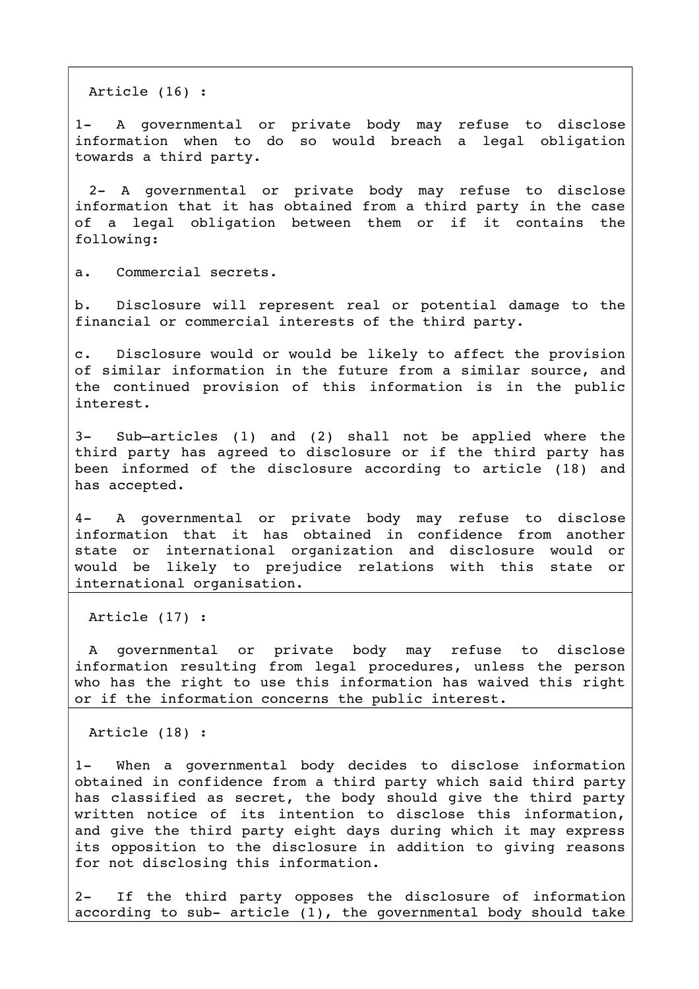Article (16) :

1- A governmental or private body may refuse to disclose information when to do so would breach a legal obligation towards a third party.

2- A governmental or private body may refuse to disclose information that it has obtained from a third party in the case of a legal obligation between them or if it contains the following:

a. Commercial secrets.

b. Disclosure will represent real or potential damage to the financial or commercial interests of the third party.

c. Disclosure would or would be likely to affect the provision of similar information in the future from a similar source, and the continued provision of this information is in the public interest.

3- Sub-articles (1) and (2) shall not be applied where the third party has agreed to disclosure or if the third party has been informed of the disclosure according to article (18) and has accepted.

4- A governmental or private body may refuse to disclose information that it has obtained in confidence from another state or international organization and disclosure would or would be likely to prejudice relations with this state or international organisation.

Article (17) :

A qovernmental or private body may refuse to disclose information resulting from legal procedures, unless the person who has the right to use this information has waived this right or if the information concerns the public interest.

Article (18) :

1- When a governmental body decides to disclose information obtained in confidence from a third party which said third party has classified as secret, the body should give the third party written notice of its intention to disclose this information, and give the third party eight days during which it may express its opposition to the disclosure in addition to giving reasons for not disclosing this information.

2- If the third party opposes the disclosure of information according to sub- article  $(1)$ , the governmental body should take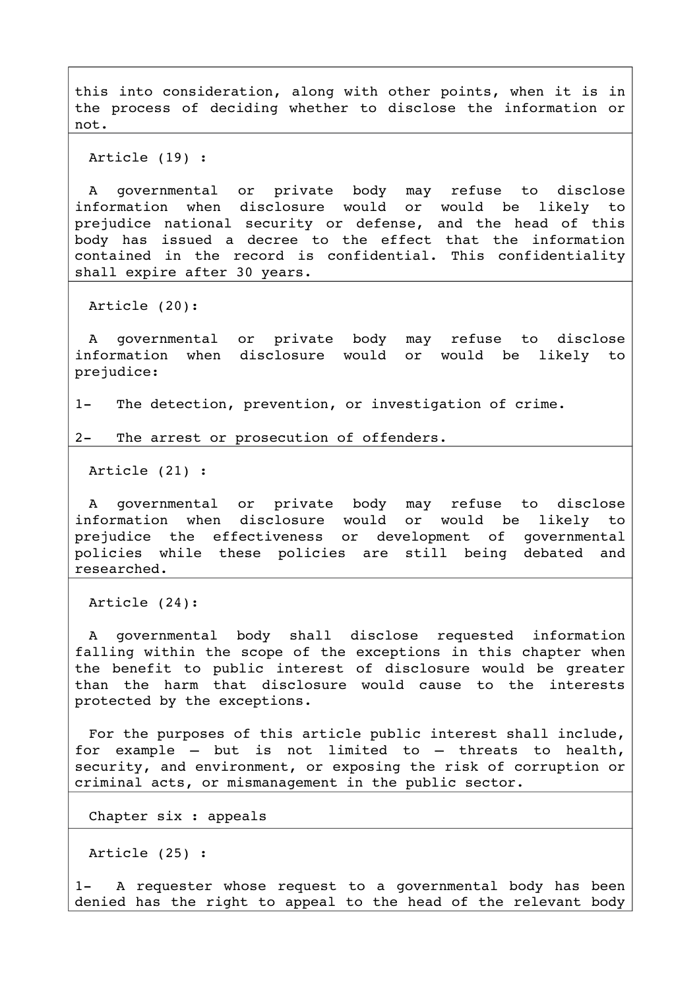this into consideration, along with other points, when it is in the process of deciding whether to disclose the information or not.

Article (19) :

A governmental or private body may refuse to disclose information when disclosure would or would be likely to prejudice national security or defense, and the head of this body has issued a decree to the effect that the information contained in the record is confidential. This confidentiality shall expire after 30 years.

Article (20):

A governmental or private body may refuse to disclose information when disclosure would or would be likely to prejudice:

1- The detection, prevention, or investigation of crime.

2- The arrest or prosecution of offenders.

Article (21) :

A qovernmental or private body may refuse to disclose information when disclosure would or would be likely to prejudice the effectiveness or development of governmental policies while these policies are still being debated and researched.

Article (24):

A governmental body shall disclose requested information falling within the scope of the exceptions in this chapter when the benefit to public interest of disclosure would be greater than the harm that disclosure would cause to the interests protected by the exceptions.

For the purposes of this article public interest shall include, for example  $-$  but is not limited to  $-$  threats to health, security, and environment, or exposing the risk of corruption or criminal acts, or mismanagement in the public sector.

Chapter six : appeals

Article (25) :

1- A requester whose request to a governmental body has been denied has the right to appeal to the head of the relevant body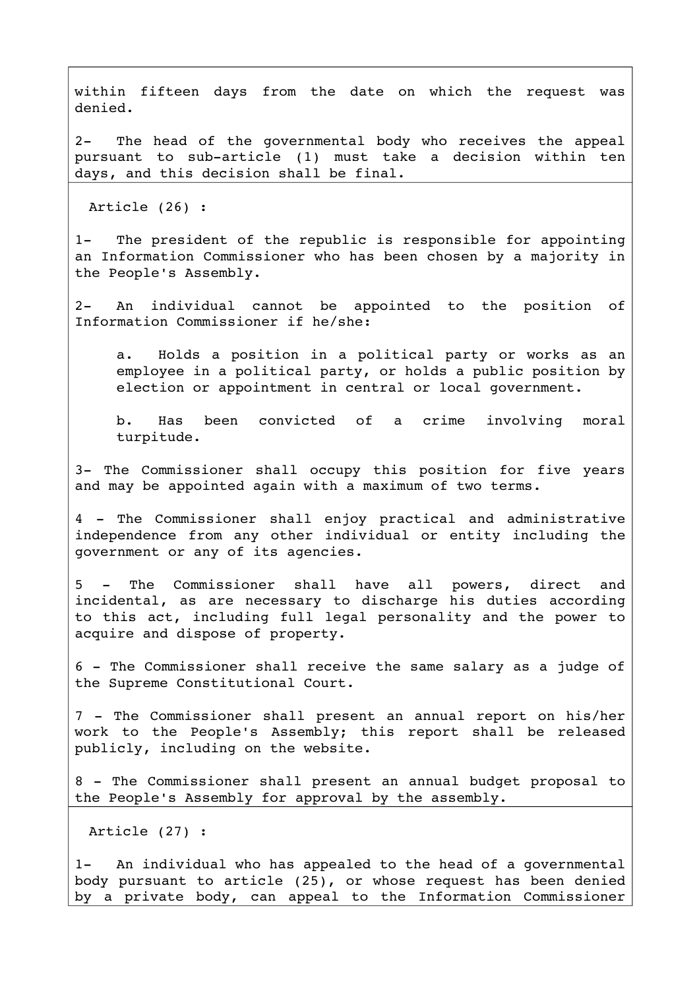within fifteen days from the date on which the request was denied.

2- The head of the governmental body who receives the appeal pursuant to sub-article (1) must take a decision within ten days, and this decision shall be final.

Article (26) :

1- The president of the republic is responsible for appointing an Information Commissioner who has been chosen by a majority in the People's Assembly.

2- An individual cannot be appointed to the position of Information Commissioner if he/she:

a. Holds a position in a political party or works as an employee in a political party, or holds a public position by election or appointment in central or local government.

b. Has been convicted of a crime involving moral turpitude.

3- The Commissioner shall occupy this position for five years and may be appointed again with a maximum of two terms.

4 - The Commissioner shall enjoy practical and administrative independence from any other individual or entity including the government or any of its agencies.

5 - The Commissioner shall have all powers, direct and incidental, as are necessary to discharge his duties according to this act, including full legal personality and the power to acquire and dispose of property.

6 The Commissioner shall receive the same salary as a judge of the Supreme Constitutional Court.

7 - The Commissioner shall present an annual report on his/her work to the People's Assembly; this report shall be released publicly, including on the website.

8 - The Commissioner shall present an annual budget proposal to the People's Assembly for approval by the assembly.

Article (27) :

1- An individual who has appealed to the head of a governmental body pursuant to article (25), or whose request has been denied by a private body, can appeal to the Information Commissioner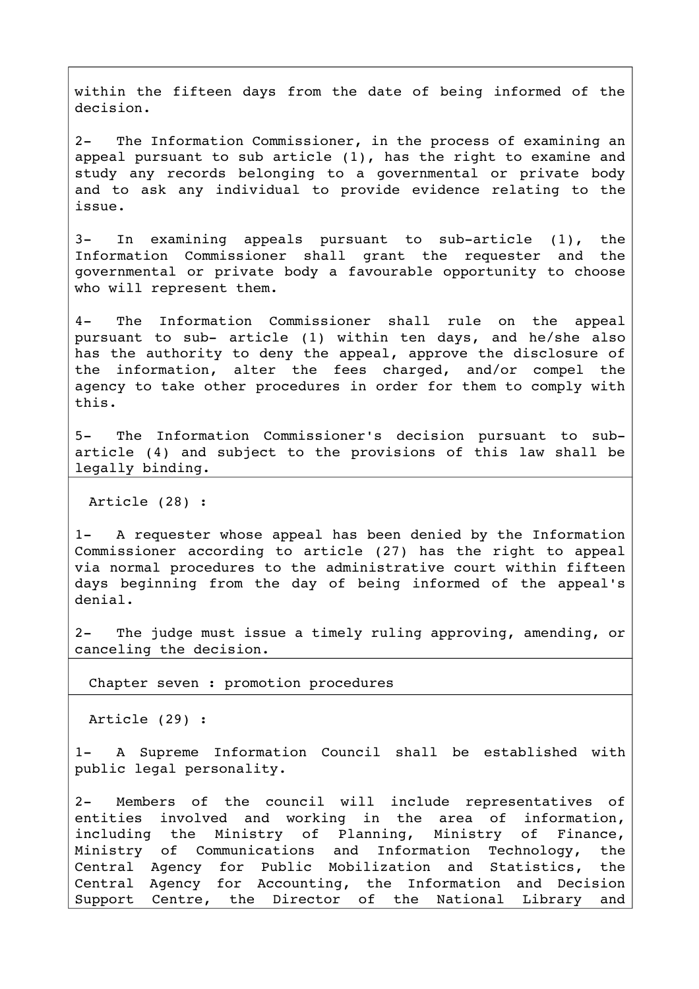within the fifteen days from the date of being informed of the decision.

2- The Information Commissioner, in the process of examining an appeal pursuant to sub article (1), has the right to examine and study any records belonging to a governmental or private body and to ask any individual to provide evidence relating to the issue.

 $3-$  In examining appeals pursuant to sub-article  $(1)$ , the Information Commissioner shall grant the requester and the governmental or private body a favourable opportunity to choose who will represent them.

4- The Information Commissioner shall rule on the appeal pursuant to sub- article (1) within ten days, and he/she also has the authority to deny the appeal, approve the disclosure of the information, alter the fees charged, and/or compel the agency to take other procedures in order for them to comply with this.

5- The Information Commissioner's decision pursuant to subarticle (4) and subject to the provisions of this law shall be legally binding.

Article (28) :

1- A requester whose appeal has been denied by the Information Commissioner according to article (27) has the right to appeal via normal procedures to the administrative court within fifteen days beginning from the day of being informed of the appeal's denial.

2- The judge must issue a timely ruling approving, amending, or canceling the decision.

Chapter seven : promotion procedures

Article (29) :

1- A Supreme Information Council shall be established with public legal personality.

2- Members of the council will include representatives of entities involved and working in the area of information, including the Ministry of Planning, Ministry of Finance, Ministry of Communications and Information Technology, the Central Agency for Public Mobilization and Statistics, the Central Agency for Accounting, the Information and Decision Support Centre, the Director of the National Library and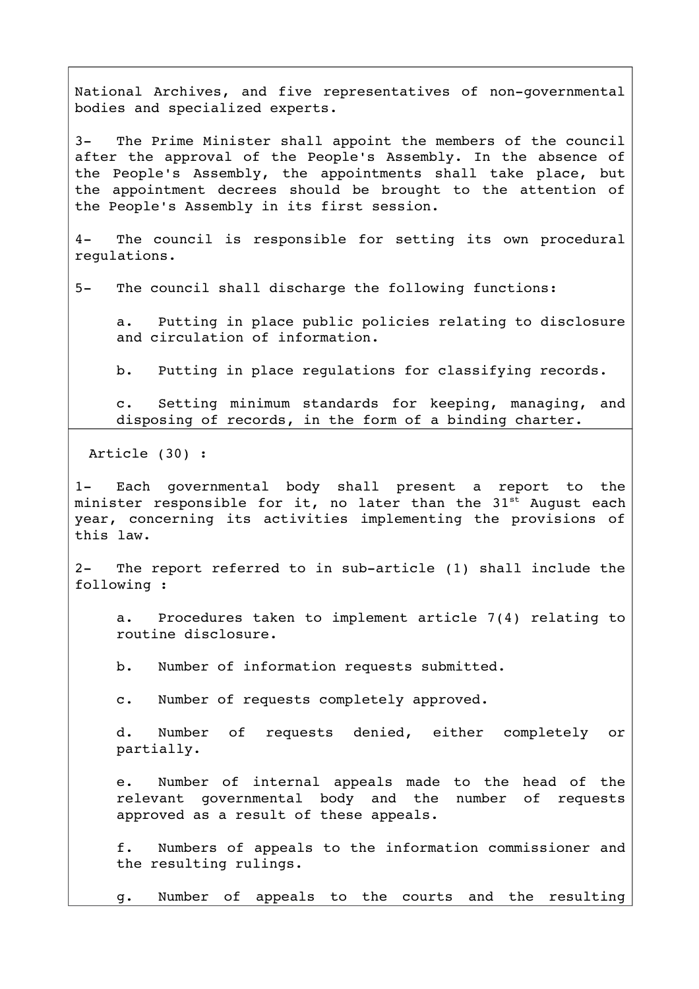National Archives, and five representatives of non-governmental bodies and specialized experts.

3- The Prime Minister shall appoint the members of the council after the approval of the People's Assembly. In the absence of the People's Assembly, the appointments shall take place, but the appointment decrees should be brought to the attention of the People's Assembly in its first session.

4- The council is responsible for setting its own procedural regulations.

5- The council shall discharge the following functions:

a. Putting in place public policies relating to disclosure and circulation of information.

b. Putting in place regulations for classifying records.

c. Setting minimum standards for keeping, managing, and disposing of records, in the form of a binding charter.

Article (30) :

1- Each governmental body shall present a report to the minister responsible for it, no later than the  $31^{st}$  August each year, concerning its activities implementing the provisions of this law.

2- The report referred to in sub-article (1) shall include the following :

a. Procedures taken to implement article 7(4) relating to routine disclosure.

b. Number of information requests submitted.

c. Number of requests completely approved.

d. Number of requests denied, either completely or partially.

e. Number of internal appeals made to the head of the relevant governmental body and the number of requests approved as a result of these appeals.

f. Numbers of appeals to the information commissioner and the resulting rulings.

g. Number of appeals to the courts and the resulting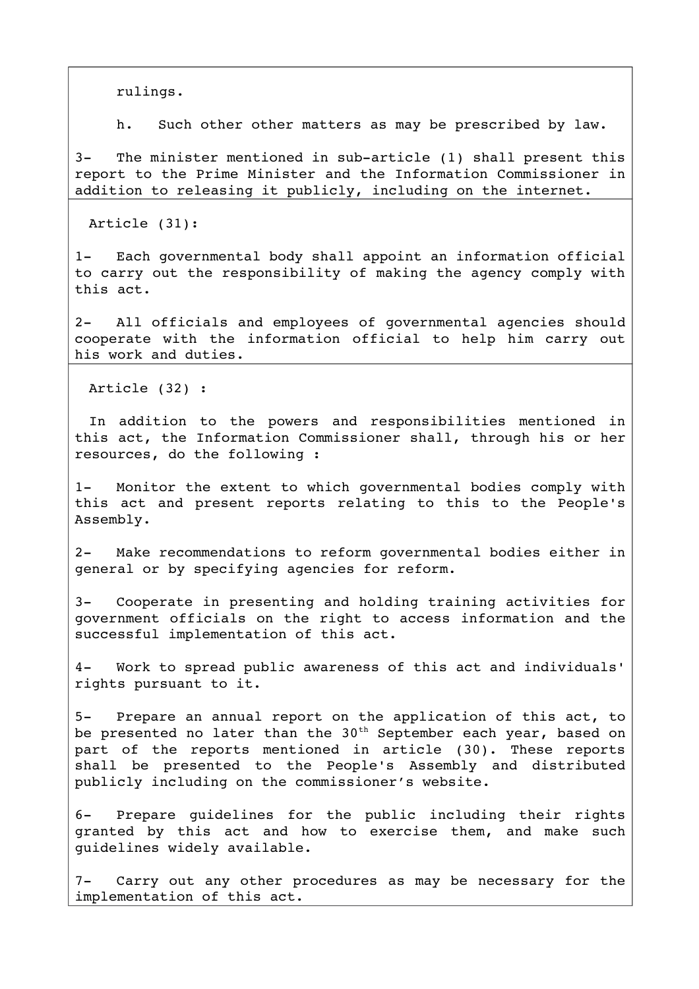rulings.

h. Such other other matters as may be prescribed by law.

3- The minister mentioned in sub-article (1) shall present this report to the Prime Minister and the Information Commissioner in addition to releasing it publicly, including on the internet.

Article (31):

1- Each governmental body shall appoint an information official to carry out the responsibility of making the agency comply with this act.

2- All officials and employees of governmental agencies should cooperate with the information official to help him carry out his work and duties.

Article (32) :

In ddition to the powers and responsibilities mentioned in this act, the Information Commissioner shall, through his or her resources, do the following :

1- Monitor the extent to which governmental bodies comply with this act and present reports relating to this to the People's Assembly.

2- Make recommendations to reform governmental bodies either in general or by specifying agencies for reform.

3- Cooperate in presenting and holding training activities for government officials on the right to access information and the successful implementation of this act.

4- Work to spread public awareness of this act and individuals' rights pursuant to it.

5- Prepare an annual report on the application of this act, to be presented no later than the  $30<sup>th</sup>$  September each year, based on part of the reports mentioned in article (30). These reports shall be presented to the People's Assembly and distributed publicly including on the commissioner's website.

6- Prepare quidelines for the public including their rights granted by this act and how to exercise them, and make such guidelines widely available.

7- Carry out any other procedures as may be necessary for the implementation of this act.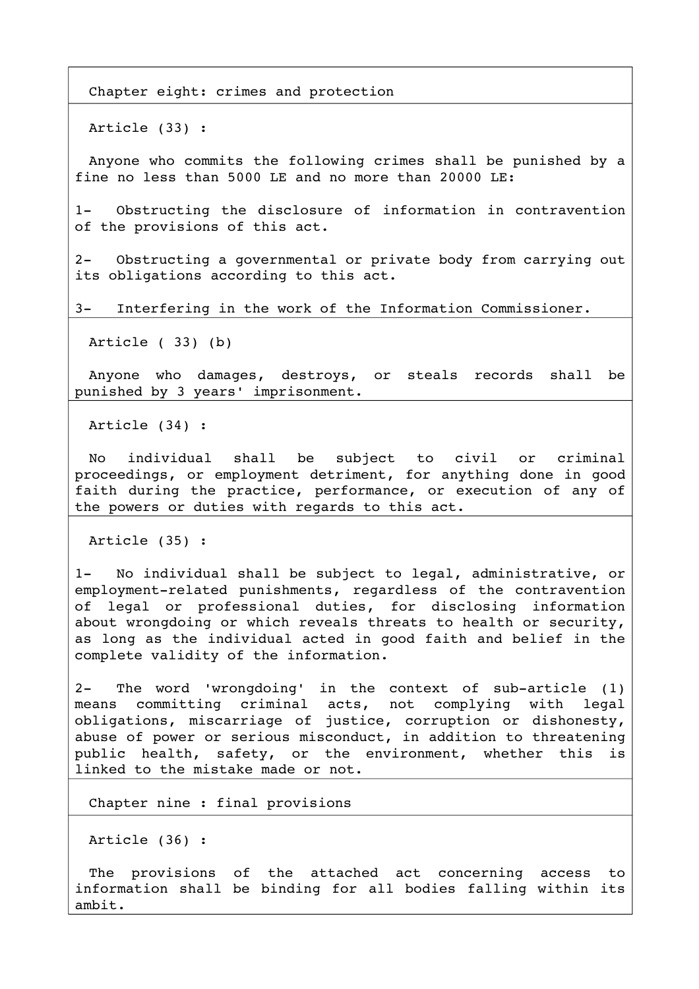Chapter eight: crimes and protection

Article (33) :

Anyone who commits the following crimes shall be punished by a fine no less than 5000 LE and no more than 20000 LE:

1- Obstructing the disclosure of information in contravention of the provisions of this act.

2- Obstructing a governmental or private body from carrying out its obligations according to this act.

3- Interfering in the work of the Information Commissioner.

Article ( 33) (b)

Anyone who damages, destroys, or steals records shall be punished by 3 years' imprisonment.

Article (34) :

No individual shall be subject to civil or criminal proceedings, or employment detriment, for anything done in good faith during the practice, performance, or execution of any of the powers or duties with regards to this act.

Article (35) :

1- No individual shall be subject to legal, administrative, or employment-related punishments, regardless of the contravention of legal or professional duties, for disclosing information about wrongdoing or which reveals threats to health or security, as long as the individual acted in good faith and belief in the complete validity of the information.

 $2-$  The word 'wrongdoing' in the context of sub-article  $(1)$ means committing criminal acts, not complying with legal obligations, miscarriage of justice, corruption or dishonesty, abuse of power or serious misconduct, in addition to threatening public health, safety, or the environment, whether this is linked to the mistake made or not.

Chapter nine : final provisions

Article (36) :

The provisions of the attached act concerning access to information shall be binding for all bodies falling within its ambit.